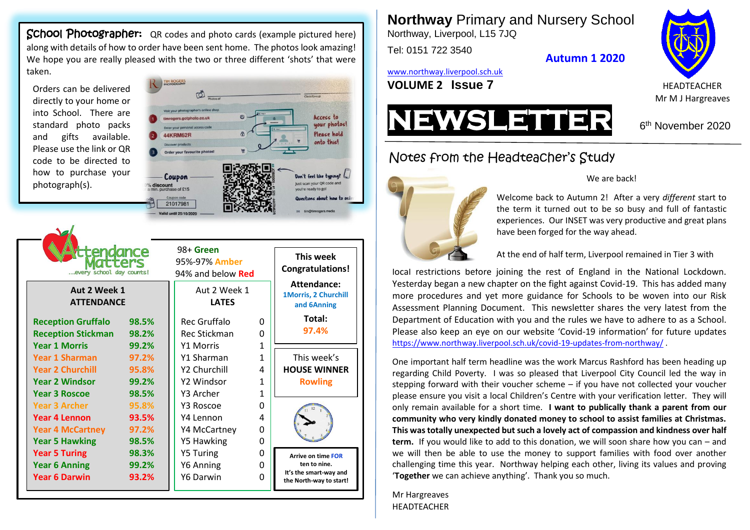School Photographer: QR codes and photo cards (example pictured here) along with details of how to order have been sent home. The photos look amazing! We hope you are really pleased with the two or three different 'shots' that were taken.

Orders can be delivered directly to your home or into School. There are standard photo packs and gifts available. Please use the link or QR code to be directed to how to purchase your photograph(s).

 $\sim$   $\sqrt{ }$ 



| ance<br>every school day counts!<br>Aut 2 Week 1<br><b>ATTENDANCE</b> |       | 98+ Green<br>95%-97% Amber<br>94% and below <b>Red</b><br>Aut 2 Week 1<br><b>LATES</b> |              | This week<br><b>Congratulations!</b><br>Attendance:<br>1Morris, 2 Churchill<br>and 6Anning |
|-----------------------------------------------------------------------|-------|----------------------------------------------------------------------------------------|--------------|--------------------------------------------------------------------------------------------|
| <b>Reception Gruffalo</b>                                             | 98.5% | Rec Gruffalo                                                                           | 0            | Total:                                                                                     |
| <b>Reception Stickman</b>                                             | 98.2% | <b>Rec Stickman</b>                                                                    | O            | 97.4%                                                                                      |
| <b>Year 1 Morris</b>                                                  | 99.2% | <b>Y1 Morris</b>                                                                       | $\mathbf{1}$ |                                                                                            |
| Year 1 Sharman                                                        | 97.2% | Y1 Sharman                                                                             | 1            | This week's                                                                                |
| <b>Year 2 Churchill</b>                                               | 95.8% | Y2 Churchill                                                                           | 4            | <b>HOUSE WINNER</b>                                                                        |
| <b>Year 2 Windsor</b>                                                 | 99.2% | Y2 Windsor                                                                             | 1            | <b>Rowling</b>                                                                             |
| <b>Year 3 Roscoe</b>                                                  | 98.5% | Y3 Archer                                                                              | $\mathbf{1}$ |                                                                                            |
| <b>Year 3 Archer</b>                                                  | 95.8% | Y3 Roscoe                                                                              | <sup>0</sup> |                                                                                            |
| <b>Year 4 Lennon</b>                                                  | 93.5% | Y4 Lennon                                                                              | Δ            |                                                                                            |
| <b>Year 4 McCartney</b>                                               | 97.2% | Y4 McCartney                                                                           | O            |                                                                                            |
| <b>Year 5 Hawking</b>                                                 | 98.5% | Y5 Hawking                                                                             | 0            |                                                                                            |
| <b>Year 5 Turing</b>                                                  | 98.3% | <b>Y5 Turing</b>                                                                       | 0            | <b>Arrive on time FOR</b>                                                                  |
| <b>Year 6 Anning</b>                                                  | 99.2% | Y6 Anning                                                                              | 0            | ten to nine.                                                                               |
| <b>Year 6 Darwin</b>                                                  | 93.2% | Y6 Darwin                                                                              | 0            | It's the smart-way and<br>the North-way to start!                                          |

alid until 35/10/202

**Northway** Primary and Nursery School Northway, Liverpool, L15 7JQ

Tel: 0151 722 3540

**Autumn 1 2020**

[www.northway.liverpool.sch.uk](http://www.northway.liverpool.sch.uk/)

**VOLUME 2 ISSUE 7** HEADTEACHER





Notes from the Headteacher's Study



#### We are back!

Welcome back to Autumn 2! After a very *different* start to the term it turned out to be so busy and full of fantastic experiences. Our INSET was very productive and great plans have been forged for the way ahead.

At the end of half term, Liverpool remained in Tier 3 with

local restrictions before joining the rest of England in the National Lockdown. Yesterday began a new chapter on the fight against Covid-19. This has added many more procedures and yet more guidance for Schools to be woven into our Risk Assessment Planning Document. This newsletter shares the very latest from the Department of Education with you and the rules we have to adhere to as a School. Please also keep an eye on our website 'Covid-19 information' for future updates <https://www.northway.liverpool.sch.uk/covid-19-updates-from-northway/>.

One important half term headline was the work Marcus Rashford has been heading up regarding Child Poverty. I was so pleased that Liverpool City Council led the way in stepping forward with their voucher scheme – if you have not collected your voucher please ensure you visit a local Children's Centre with your verification letter. They will only remain available for a short time. **I want to publically thank a parent from our community who very kindly donated money to school to assist families at Christmas. This was totally unexpected but such a lovely act of compassion and kindness over half term.** If you would like to add to this donation, we will soon share how you can – and we will then be able to use the money to support families with food over another challenging time this year. Northway helping each other, living its values and proving '**Together** we can achieve anything'. Thank you so much.

Mr Hargreaves HEADTEACHER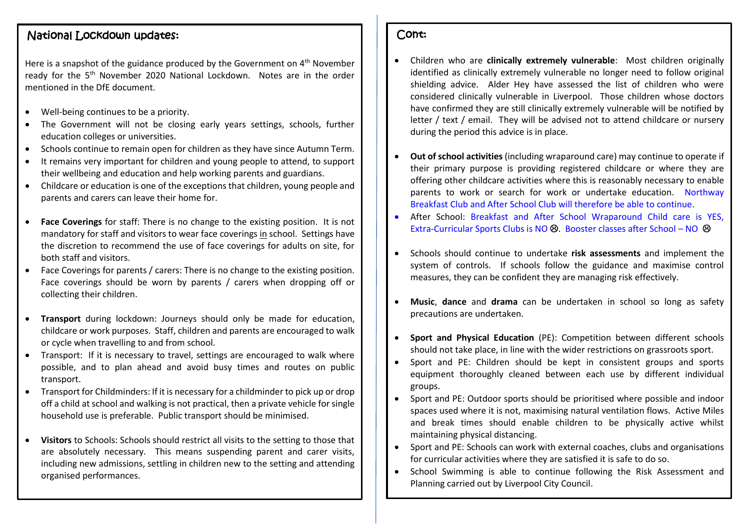# National Lockdown updates:

Here is a snapshot of the guidance produced by the Government on 4<sup>th</sup> November ready for the 5<sup>th</sup> November 2020 National Lockdown. Notes are in the order mentioned in the DfE document.

- Well-being continues to be a priority.
- The Government will not be closing early years settings, schools, further education colleges or universities.
- Schools continue to remain open for children as they have since Autumn Term.
- It remains very important for children and young people to attend, to support their wellbeing and education and help working parents and guardians.
- Childcare or education is one of the exceptions that children, young people and parents and carers can leave their home for.
- **Face Coverings** for staff: There is no change to the existing position. It is not mandatory for staff and visitors to wear face coverings in school. Settings have the discretion to recommend the use of face coverings for adults on site, for both staff and visitors.
- Face Coverings for parents / carers: There is no change to the existing position. Face coverings should be worn by parents / carers when dropping off or collecting their children.
- **Transport** during lockdown: Journeys should only be made for education, childcare or work purposes. Staff, children and parents are encouraged to walk or cycle when travelling to and from school.
- Transport: If it is necessary to travel, settings are encouraged to walk where possible, and to plan ahead and avoid busy times and routes on public transport.
- Transport for Childminders: If it is necessary for a childminder to pick up or drop off a child at school and walking is not practical, then a private vehicle for single household use is preferable. Public transport should be minimised.
- **Visitors** to Schools: Schools should restrict all visits to the setting to those that are absolutely necessary. This means suspending parent and carer visits, including new admissions, settling in children new to the setting and attending organised performances.

#### Cont:

- Children who are **clinically extremely vulnerable**: Most children originally identified as clinically extremely vulnerable no longer need to follow original shielding advice. Alder Hey have assessed the list of children who were considered clinically vulnerable in Liverpool. Those children whose doctors have confirmed they are still clinically extremely vulnerable will be notified by letter / text / email. They will be advised not to attend childcare or nursery during the period this advice is in place.
- **Out of school activities** (including wraparound care) may continue to operate if their primary purpose is providing registered childcare or where they are offering other childcare activities where this is reasonably necessary to enable parents to work or search for work or undertake education. Northway Breakfast Club and After School Club will therefore be able to continue.
- After School: Breakfast and After School Wraparound Child care is YES, Extra-Curricular Sports Clubs is NO  $\odot$ . Booster classes after School – NO  $\odot$
- Schools should continue to undertake **risk assessments** and implement the system of controls. If schools follow the guidance and maximise control measures, they can be confident they are managing risk effectively.
- **Music**, **dance** and **drama** can be undertaken in school so long as safety precautions are undertaken.
- **Sport and Physical Education** (PE): Competition between different schools should not take place, in line with the wider restrictions on grassroots sport.
- Sport and PE: Children should be kept in consistent groups and sports equipment thoroughly cleaned between each use by different individual groups.
- Sport and PE: Outdoor sports should be prioritised where possible and indoor spaces used where it is not, maximising natural ventilation flows. Active Miles and break times should enable children to be physically active whilst maintaining physical distancing.
- Sport and PE: Schools can work with external coaches, clubs and organisations for curricular activities where they are satisfied it is safe to do so.
- School Swimming is able to continue following the Risk Assessment and Planning carried out by Liverpool City Council.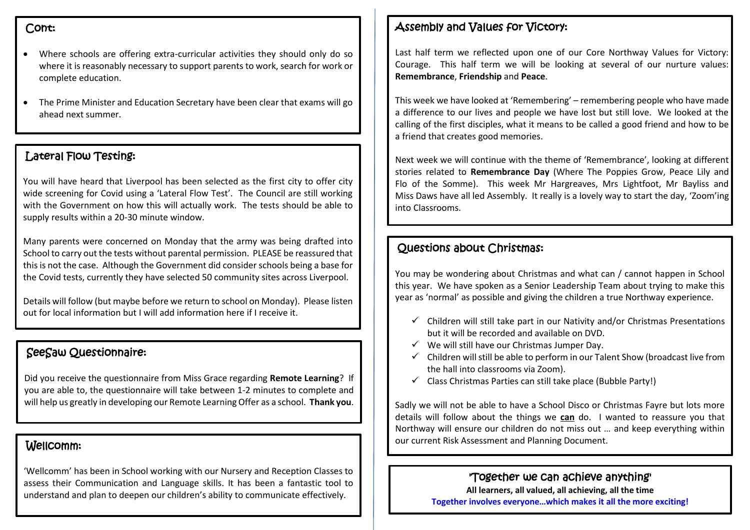#### Cont:

- Where schools are offering extra-curricular activities they should only do so where it is reasonably necessary to support parents to work, search for work or complete education.
- The Prime Minister and Education Secretary have been clear that exams will go ahead next summer.

## Lateral Flow Testing:

You will have heard that Liverpool has been selected as the first city to offer city wide screening for Covid using a 'Lateral Flow Test'. The Council are still working with the Government on how this will actually work. The tests should be able to supply results within a 20-30 minute window.

Many parents were concerned on Monday that the army was being drafted into School to carry out the tests without parental permission. PLEASE be reassured that this is not the case. Although the Government did consider schools being a base for the Covid tests, currently they have selected 50 community sites across Liverpool.

Details will follow (but maybe before we return to school on Monday). Please listen out for local information but I will add information here if I receive it.

## SeeSaw Questionnaire:

Did you receive the questionnaire from Miss Grace regarding **Remote Learning**? If you are able to, the questionnaire will take between 1-2 minutes to complete and will help us greatly in developing our Remote Learning Offer as a school. **Thank you**.

## Wellcomm:

'Wellcomm' has been in School working with our Nursery and Reception Classes to assess their Communication and Language skills. It has been a fantastic tool to understand and plan to deepen our children's ability to communicate effectively.

## Assembly and Values for Victory:

Last half term we reflected upon one of our Core Northway Values for Victory: Courage. This half term we will be looking at several of our nurture values: **Remembrance**, **Friendship** and **Peace**.

This week we have looked at 'Remembering' – remembering people who have made a difference to our lives and people we have lost but still love. We looked at the calling of the first disciples, what it means to be called a good friend and how to be a friend that creates good memories.

Next week we will continue with the theme of 'Remembrance', looking at different stories related to **Remembrance Day** (Where The Poppies Grow, Peace Lily and Flo of the Somme). This week Mr Hargreaves, Mrs Lightfoot, Mr Bayliss and Miss Daws have all led Assembly. It really is a lovely way to start the day, 'Zoom'ing into Classrooms.

# Questions about Christmas:

You may be wondering about Christmas and what can / cannot happen in School this year. We have spoken as a Senior Leadership Team about trying to make this year as 'normal' as possible and giving the children a true Northway experience.

- $\checkmark$  Children will still take part in our Nativity and/or Christmas Presentations but it will be recorded and available on DVD.
- $\checkmark$  We will still have our Christmas Jumper Day.
- $\checkmark$  Children will still be able to perform in our Talent Show (broadcast live from the hall into classrooms via Zoom).
- $\checkmark$  Class Christmas Parties can still take place (Bubble Party!)

Sadly we will not be able to have a School Disco or Christmas Fayre but lots more details will follow about the things we **can** do. I wanted to reassure you that Northway will ensure our children do not miss out … and keep everything within our current Risk Assessment and Planning Document.

> 'Together we can achieve anything' **All learners, all valued, all achieving, all the time Together involves everyone…which makes it all the more exciting!**